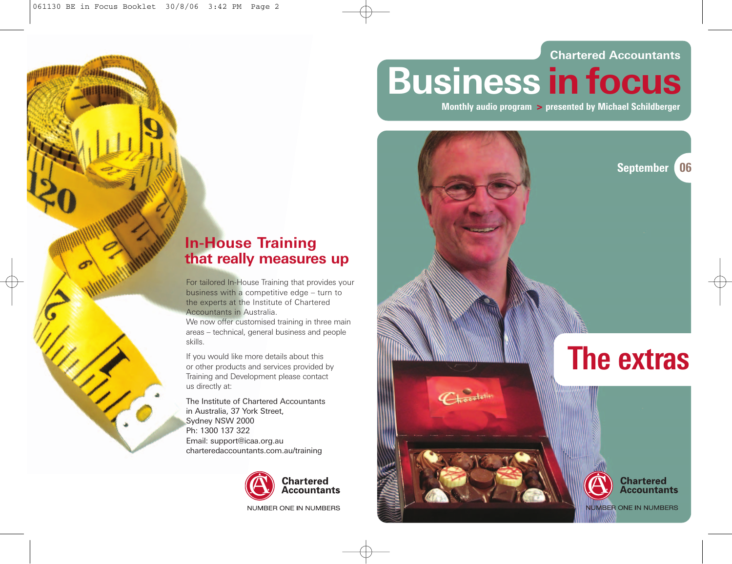### **Chartered Accountants**

# **Business in focus**

**Monthly audio program > presented by Michael Schildberger**



## **In-House Training that really measures up**

For tailored In-House Training that provides your business with a competitive edge – turn to the experts at the Institute of Chartered Accountants in Australia.

We now offer customised training in three main areas – technical, general business and people skills.

If you would like more details about this or other products and services provided by Training and Development please contact us directly at:

The Institute of Chartered Accountants in Australia, 37 York Street, Sydney NSW 2000 Ph: 1300 137 322 Email: support@icaa.org.au charteredaccountants.com.au/training



NUMBER ONE IN NUMBERS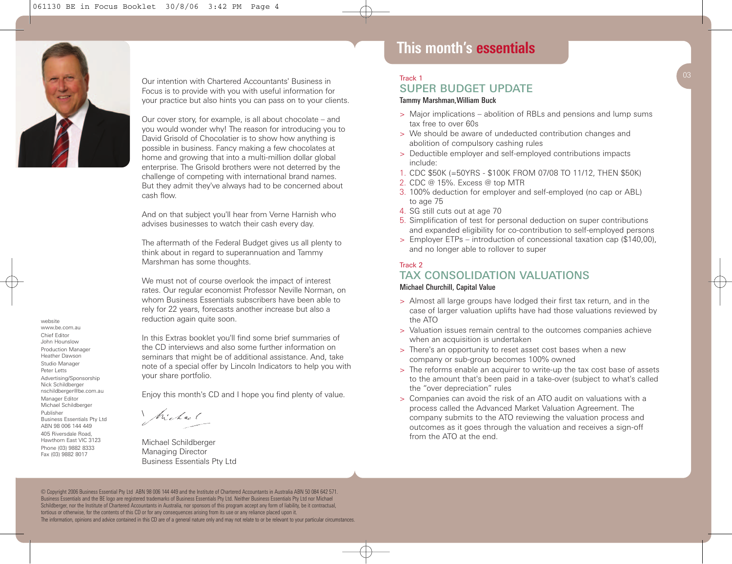

Our intention with Chartered Accountants' Business in Focus is to provide with you with useful information for your practice but also hints you can pass on to your clients.

Our cover story, for example, is all about chocolate – and you would wonder why! The reason for introducing you to David Grisold of Chocolatier is to show how anything is possible in business. Fancy making a few chocolates at home and growing that into a multi-million dollar global enterprise. The Grisold brothers were not deterred by the challenge of competing with international brand names. But they admit they've always had to be concerned about cash flow.

And on that subject you'll hear from Verne Harnish who advises businesses to watch their cash every day.

The aftermath of the Federal Budget gives us all plenty to think about in regard to superannuation and Tammy Marshman has some thoughts.

We must not of course overlook the impact of interest rates. Our regular economist Professor Neville Norman, on whom Business Essentials subscribers have been able to rely for 22 years, forecasts another increase but also a reduction again quite soon.

In this Extras booklet you'll find some brief summaries of the CD interviews and also some further information on seminars that might be of additional assistance. And, take note of a special offer by Lincoln Indicators to help you with your share portfolio.

Enjoy this month's CD and I hope you find plenty of value.

Michael.

Michael Schildberger Managing Director Business Essentials Pty Ltd

#### Track 1 SUPER BUDGET UPDATE

#### *Tammy Marshman,William Buck*

- > Major implications abolition of RBLs and pensions and lump sums tax free to over 60s
- > We should be aware of undeducted contribution changes and abolition of compulsory cashing rules
- > Deductible employer and self-employed contributions impacts include:
- 1. CDC \$50K (=50YRS \$100K FROM 07/08 TO 11/12, THEN \$50K)
- 2. CDC @ 15%. Excess @ top MTR
- 3. 100% deduction for employer and self-employed (no cap or ABL) to age 75
- 4. SG still cuts out at age 70
- 5. Simplification of test for personal deduction on super contributions and expanded eligibility for co-contribution to self-employed persons
- > Employer ETPs introduction of concessional taxation cap (\$140,00), and no longer able to rollover to super

#### Track 2

#### TAX CONSOLIDATION VALUATIONS *Michael Churchill, Capital Value*

- > Almost all large groups have lodged their first tax return, and in the case of larger valuation uplifts have had those valuations reviewed by the ATO
- > Valuation issues remain central to the outcomes companies achieve when an acquisition is undertaken
- > There's an opportunity to reset asset cost bases when a new company or sub-group becomes 100% owned
- > The reforms enable an acquirer to write-up the tax cost base of assets to the amount that's been paid in a take-over (subject to what's called the "over depreciation" rules
- > Companies can avoid the risk of an ATO audit on valuations with a process called the Advanced Market Valuation Agreement. The company submits to the ATO reviewing the valuation process and outcomes as it goes through the valuation and receives a sign-off from the ATO at the end.

© Copyright 2006 Business Essential Pty Ltd ABN 98 006 144 449 and the Institute of Chartered Accountants in Australia ABN 50 084 642 571. Business Essentials and the BE logo are registered trademarks of Business Essentials Pty Ltd. Neither Business Essentials Pty Ltd nor Michael Schildberger, nor the Institute of Chartered Accountants in Australia, nor sponsors of this program accept any form of liability, be it contractual, tortious or otherwise, for the contents of this CD or for any consequences arising from its use or any reliance placed upon it. The information, opinions and advice contained in this CD are of a general nature only and may not relate to or be relevant to your particular circumstances.

website www.be.com.au Chief Editor John Hounslow Production Manager Heather Dawson Studio Manager Peter Letts Advertising/Sponsorship Nick Schildberger nschildberger@be.com.au Manager Editor Michael Schildberger Publisher Business Essentials Pty Ltd ABN 98 006 144 449 405 Riversdale Road, Hawthorn East VIC 3123 Phone (03) 9882 8333 Fax (03) 9882 8017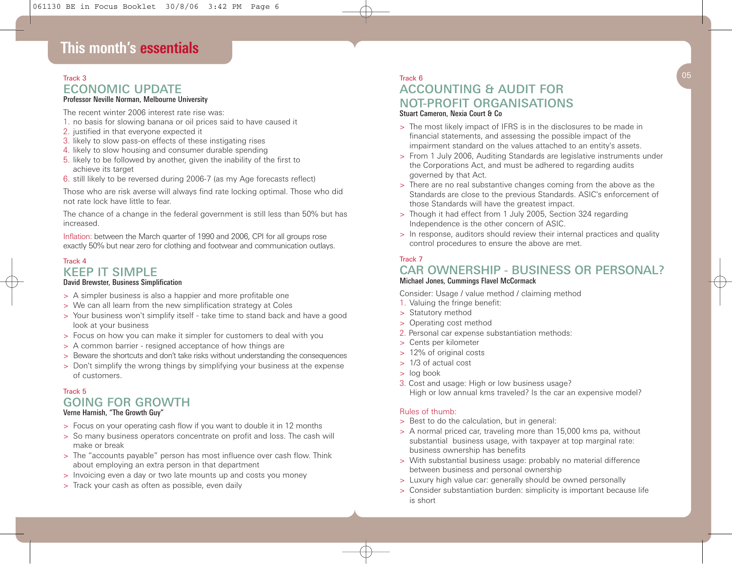## **This month's essentials**

## ECONOMIC UPDATE

#### *Professor Neville Norman, Melbourne University*

The recent winter 2006 interest rate rise was:

- 1. no basis for slowing banana or oil prices said to have caused it
- 2. justified in that everyone expected it
- 3. likely to slow pass-on effects of these instigating rises
- 4. likely to slow housing and consumer durable spending
- 5. likely to be followed by another, given the inability of the first to achieve its target
- 6. still likely to be reversed during 2006-7 (as my Age forecasts reflect)

Those who are risk averse will always find rate locking optimal. Those who did not rate lock have little to fear.

The chance of a change in the federal government is still less than 50% but has increased.

Inflation: between the March quarter of 1990 and 2006, CPI for all groups rose exactly 50% but near zero for clothing and footwear and communication outlays.

#### Track 4 KEEP IT SIMPLE *David Brewster, Business Simplification*

- > A simpler business is also a happier and more profitable one
- > We can all learn from the new simplification strategy at Coles
- > Your business won't simplify itself take time to stand back and have a good look at your business
- > Focus on how you can make it simpler for customers to deal with you
- > A common barrier resigned acceptance of how things are
- > Beware the shortcuts and don't take risks without understanding the consequences
- > Don't simplify the wrong things by simplifying your business at the expense of customers.

## Track 5 GOING FOR GROWTH

#### *Verne Harnish, "The Growth Guy"*

- > Focus on your operating cash flow if you want to double it in 12 months
- > So many business operators concentrate on profit and loss. The cash will make or break
- > The "accounts payable" person has most influence over cash flow. Think about employing an extra person in that department
- > Invoicing even a day or two late mounts up and costs you money
- > Track your cash as often as possible, even daily

#### Track 3 Track 6  $05$ Track 6 ACCOUNTING & AUDIT FOR NOT-PROFIT ORGANISATIONS *Stuart Cameron, Nexia Court & Co*

- > The most likely impact of IFRS is in the disclosures to be made in financial statements, and assessing the possible impact of the impairment standard on the values attached to an entity's assets.
- > From 1 July 2006, Auditing Standards are legislative instruments under the Corporations Act, and must be adhered to regarding audits governed by that Act.
- > There are no real substantive changes coming from the above as the Standards are close to the previous Standards. ASIC's enforcement of those Standards will have the greatest impact.
- > Though it had effect from 1 July 2005, Section 324 regarding Independence is the other concern of ASIC.
- > In response, auditors should review their internal practices and quality control procedures to ensure the above are met.

#### Track 7

#### CAR OWNERSHIP - BUSINESS OR PERSONAL? *Michael Jones, Cummings Flavel McCormack*

Consider: Usage / value method / claiming method

- 1. Valuing the fringe benefit:
- > Statutory method
- > Operating cost method
- 2. Personal car expense substantiation methods:
- > Cents per kilometer
- > 12% of original costs
- > 1/3 of actual cost
- > log book
- 3. Cost and usage: High or low business usage? High or low annual kms traveled? Is the car an expensive model?

#### Rules of thumb:

- > Best to do the calculation, but in general:
- > A normal priced car, traveling more than 15,000 kms pa, without substantial business usage, with taxpayer at top marginal rate: business ownership has benefits
- > With substantial business usage: probably no material difference between business and personal ownership
- > Luxury high value car: generally should be owned personally
- > Consider substantiation burden: simplicity is important because life is short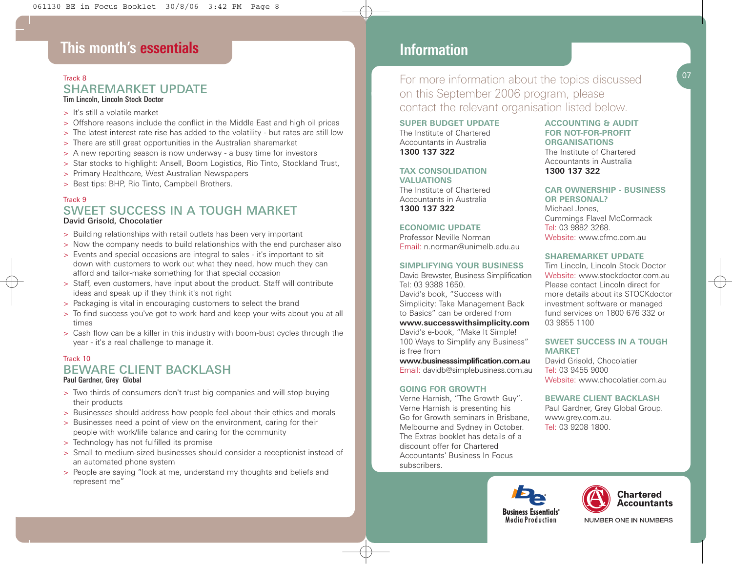## **This month's essentials**

#### Track 8 SHAREMARKET UPDATE *Tim Lincoln, Lincoln Stock Doctor*

- > It's still a volatile market
- > Offshore reasons include the conflict in the Middle East and high oil prices
- > The latest interest rate rise has added to the volatility but rates are still low
- > There are still great opportunities in the Australian sharemarket
- > A new reporting season is now underway a busy time for investors
- > Star stocks to highlight: Ansell, Boom Logistics, Rio Tinto, Stockland Trust,
- > Primary Healthcare, West Australian Newspapers
- > Best tips: BHP, Rio Tinto, Campbell Brothers.

#### Track 9

#### SWEET SUCCESS IN A TOUGH MARKET David Grisold, Chocolatier

- > Building relationships with retail outlets has been very important
- > Now the company needs to build relationships with the end purchaser also
- > Events and special occasions are integral to sales it's important to sit down with customers to work out what they need, how much they can afford and tailor-make something for that special occasion
- > Staff, even customers, have input about the product. Staff will contribute ideas and speak up if they think it's not right
- > Packaging is vital in encouraging customers to select the brand
- > To find success you've got to work hard and keep your wits about you at all times
- > Cash flow can be a killer in this industry with boom-bust cycles through the year - it's a real challenge to manage it.

#### Track 10 BEWARE CLIENT BACKLASH *Paul Gardner, Grey Global*

- 
- > Two thirds of consumers don't trust big companies and will stop buying their products
- > Businesses should address how people feel about their ethics and morals
- > Businesses need a point of view on the environment, caring for their people with work/life balance and caring for the community
- > Technology has not fulfilled its promise
- > Small to medium-sized businesses should consider a receptionist instead of an automated phone system
- > People are saying "look at me, understand my thoughts and beliefs and represent me"

## **This month's essentials Information**

For more information about the topics discussed on this September 2006 program, please contact the relevant organisation listed below.

**SUPER BUDGET UPDATE** The Institute of Chartered Accountants in Australia **1300 137 322**

#### **TAX CONSOLIDATION VALUATIONS**

The Institute of Chartered Accountants in Australia **1300 137 322**

#### **ECONOMIC UPDATE**

Professor Neville Norman Email: n.norman@unimelb.edu.au

#### **SIMPLIFYING YOUR BUSINESS**

David Brewster, Business Simplification Tel: 03 9388 1650. David's book, "Success with Simplicity: Take Management Back to Basics" can be ordered from **www.successwithsimplicity.com** 

David's e-book, "Make It Simple! 100 Ways to Simplify any Business" is free from

**www.businesssimplification.com.au** Email: davidb@simplebusiness.com.au

#### **GOING FOR GROWTH**

Verne Harnish, "The Growth Guy". Verne Harnish is presenting his Go for Growth seminars in Brisbane, Melbourne and Sydney in October. The Extras booklet has details of a discount offer for Chartered Accountants' Business In Focus subscribers.

#### **ACCOUNTING & AUDIT FOR NOT-FOR-PROFIT ORGANISATIONS** The Institute of Chartered Accountants in Australia

**1300 137 322**

#### **CAR OWNERSHIP - BUSINESS OR PERSONAL?**

Michael Jones, Cummings Flavel McCormack Tel: 03 9882 3268. Website: www.cfmc.com.au

#### **SHAREMARKET UPDATE**

Tim Lincoln, Lincoln Stock Doctor Website: www.stockdoctor.com.au Please contact Lincoln direct for more details about its STOCKdoctor investment software or managed fund services on 1800 676 332 or 03 9855 1100

#### **SWEET SUCCESS IN A TOUGH MARKET**

David Grisold, Chocolatier Tel: 03 9455 9000 Website: www.chocolatier.com.au

#### **BEWARE CLIENT BACKLASH**

Paul Gardner, Grey Global Group. www.grey.com.au. Tel: 03 9208 1800.





NUMBER ONE IN NUMBERS

07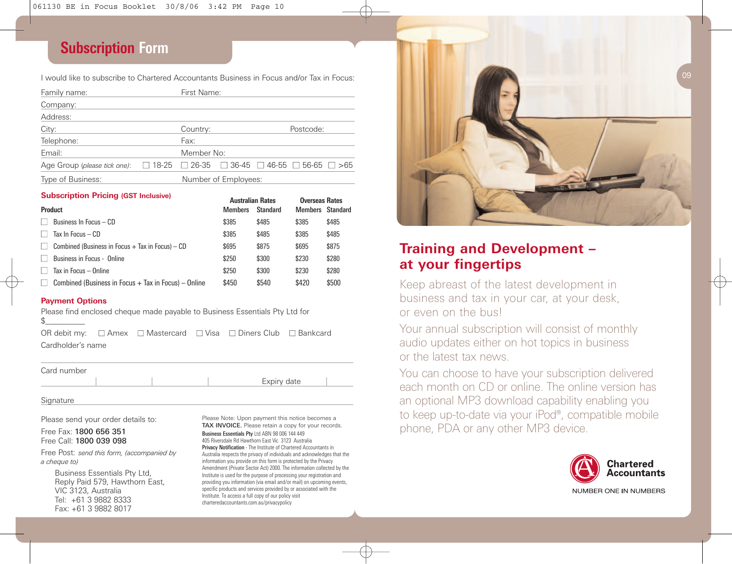## **Subscription Form**

I would like to subscribe to Chartered Accountants Business in Focus and/or Tax in Focus:

| Family name:                 |                                                                             | First Name:          |  |  |           |  |
|------------------------------|-----------------------------------------------------------------------------|----------------------|--|--|-----------|--|
| Company:                     |                                                                             |                      |  |  |           |  |
| Address:                     |                                                                             |                      |  |  |           |  |
| City:                        |                                                                             | Country:             |  |  | Postcode: |  |
| Telephone:                   |                                                                             | Fax:                 |  |  |           |  |
| Email:                       |                                                                             | Member No:           |  |  |           |  |
| Age Group (please tick one): | $\Box$ 18-25 $\Box$ 26-35 $\Box$ 36-45 $\Box$ 46-55 $\Box$ 56-65 $\Box$ >65 |                      |  |  |           |  |
| Type of Business:            |                                                                             | Number of Employees: |  |  |           |  |

#### **Subscription Pricing (GST Inclusive) Australian Rates Rates Rates Rates Rates Rates Rates Rates Rates Rates Rates Rates Rates Rates Rates Rates Rates Rates Rates Rates Rates Rates Rates Rates Rates Rates Rates Rates Rat**

|                                                                 | Australian Rates |          | <b>UVERSEAS RATES</b> |       |
|-----------------------------------------------------------------|------------------|----------|-----------------------|-------|
| <b>Product</b>                                                  | <b>Members</b>   | Standard | Members Standard      |       |
| Business In Focus - CD                                          | \$385            | \$485    | \$385                 | \$485 |
| Tax In Focus $-$ CD                                             | \$385            | \$485    | \$385                 | \$485 |
| Combined (Business in Focus $+$ Tax in Focus) $-$ CD<br>$\perp$ | \$695            | \$875    | \$695                 | \$875 |
| Business in Focus - Online                                      | \$250            | \$300    | \$230                 | \$280 |
| Tax in Focus - Online                                           | \$250            | \$300    | \$230                 | \$280 |
| Combined (Business in Focus $+$ Tax in Focus) – Online          | \$450            | \$540    | \$420                 | \$500 |

#### **Payment Options**

Please find enclosed cheque made payable to Business Essentials Pty Ltd for

OR debit my: **■** Amex **■** Mastercard **■** Visa **■** Diners Club **■** Bankcard Cardholder's name

Card number

**Signature** 

Please send your order details to:

Free Fax: 1800 656 351 Free Call: 1800 039 098

Free Post: *send this form, (accompanied by a cheque to)*

Business Essentials Pty Ltd, Reply Paid 579, Hawthorn East, VIC 3123, Australia Tel: +61 3 9882 8333 Fax: +61 3 9882 8017

Please Note: Upon payment this notice becomes a TAX INVOICE. Please retain a copy for your records.

Expiry date

*Business Essentials Pty* Ltd ABN 98 006 144 449 405 Riversdale Rd Hawthorn East Vic 3123 Australia *Privacy Notification* - The Institute of Chartered Accountants in Australia respects the privacy of individuals and acknowledges that the information you provide on this form is protected by the Privacy Amendment (Private Sector Act) 2000. The information collected by the Institute is used for the purpose of processing your registration and providing you information (via email and/or mail) on upcoming events, specific products and services provided by or associated with the Institute. To access a full copy of our policy visit charteredaccountants.com.au/privacypolicy



## **Training and Development – at your fingertips**

Keep abreast of the latest development in business and tax in your car, at your desk, or even on the bus!

Your annual subscription will consist of monthly audio updates either on hot topics in business or the latest tax news.

You can choose to have your subscription delivered each month on CD or online. The online version has an optional MP3 download capability enabling you to keep up-to-date via your iPod®, compatible mobile phone, PDA or any other MP3 device.